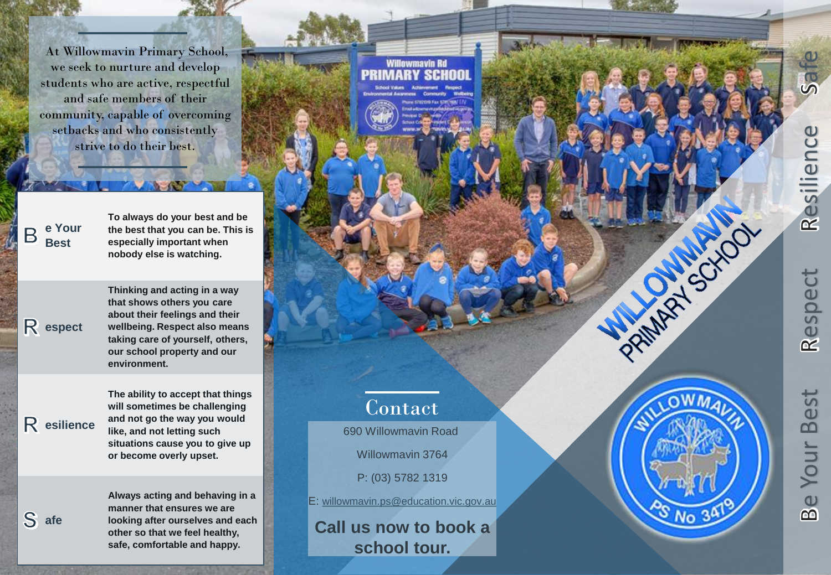At Willowmavin Primary School, we seek to nurture and develop students who are active, respectful and safe members of their community, capable of overcoming setbacks and who consistently strive to do their best.

**e Your**  B **Best**

**espect**

**To always do your best and be the best that you can be. This is especially important when nobody else is watching.**

**Thinking and acting in a way that shows others you care about their feelings and their wellbeing. Respect also means taking care of yourself, others, our school property and our environment.**

**esilience**

**afe**

**The ability to accept that things will sometimes be challenging and not go the way you would like, and not letting such situations cause you to give up or become overly upset.**

**Always acting and behaving in a manner that ensures we are looking after ourselves and each other so that we feel healthy, safe, comfortable and happy.**



e Your Best Respect Resilience Safe **Best** Your Be

Safe

Resilience

Respect